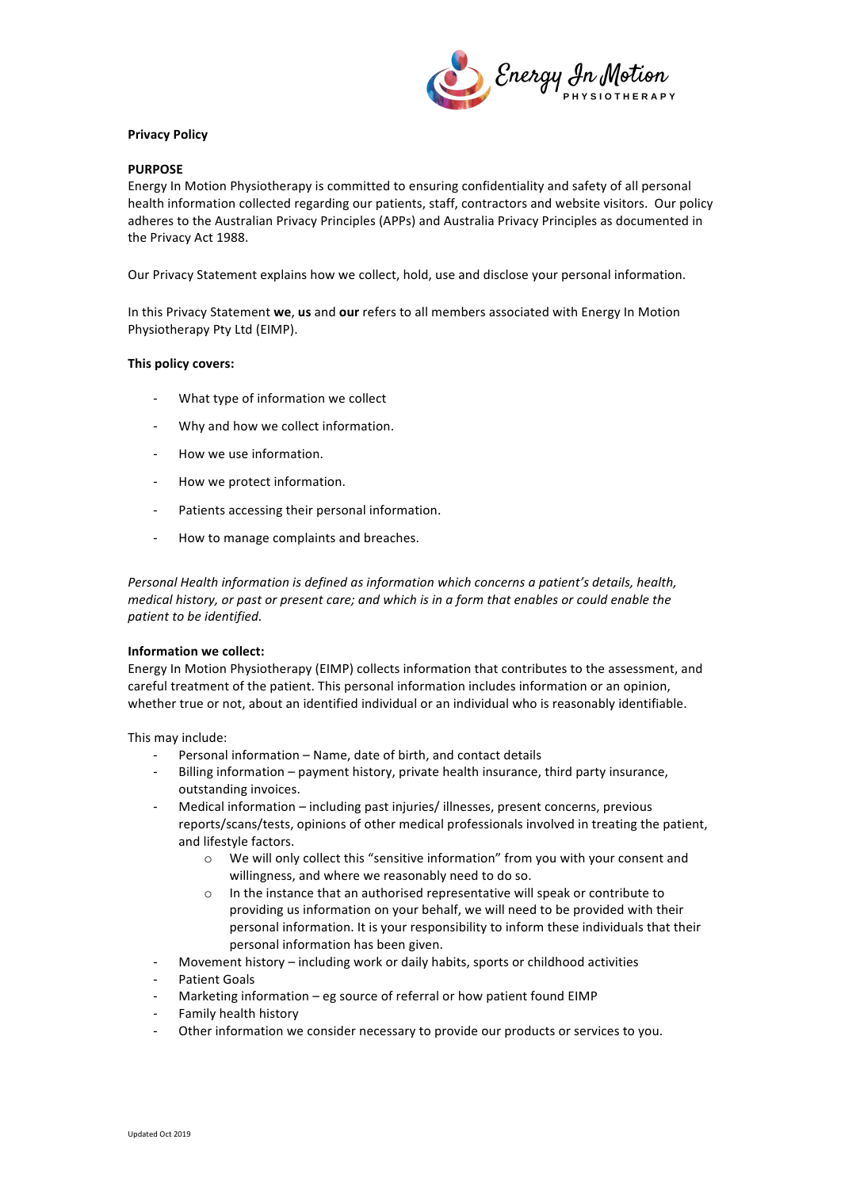

# **Privacy Policy**

# **PURPOSE**

Energy In Motion Physiotherapy is committed to ensuring confidentiality and safety of all personal health information collected regarding our patients, staff, contractors and website visitors. Our policy adheres to the Australian Privacy Principles (APPs) and Australia Privacy Principles as documented in the Privacy Act 1988.

Our Privacy Statement explains how we collect, hold, use and disclose your personal information.

In this Privacy Statement we, us and our refers to all members associated with Energy In Motion Physiotherapy Pty Ltd (EIMP).

## This policy covers:

- What type of information we collect
- Why and how we collect information.
- How we use information.
- How we protect information.
- Patients accessing their personal information.
- How to manage complaints and breaches.

*Personal Health information is defined as information which concerns a patient's details, health, medical history, or past or present care; and which is in a form that enables or could enable the patient to be identified.* 

## **Information** we collect:

Energy In Motion Physiotherapy (EIMP) collects information that contributes to the assessment, and careful treatment of the patient. This personal information includes information or an opinion, whether true or not, about an identified individual or an individual who is reasonably identifiable.

This may include:

- Personal information Name, date of birth, and contact details
- Billing information payment history, private health insurance, third party insurance, outstanding invoices.
- Medical information including past injuries/ illnesses, present concerns, previous reports/scans/tests, opinions of other medical professionals involved in treating the patient, and lifestyle factors.
	- $\circ$  We will only collect this "sensitive information" from you with your consent and willingness, and where we reasonably need to do so.
	- $\circ$  In the instance that an authorised representative will speak or contribute to providing us information on your behalf, we will need to be provided with their personal information. It is your responsibility to inform these individuals that their personal information has been given.
- Movement history including work or daily habits, sports or childhood activities
- Patient Goals
- Marketing information  $-$  eg source of referral or how patient found EIMP
- Family health history
- Other information we consider necessary to provide our products or services to you.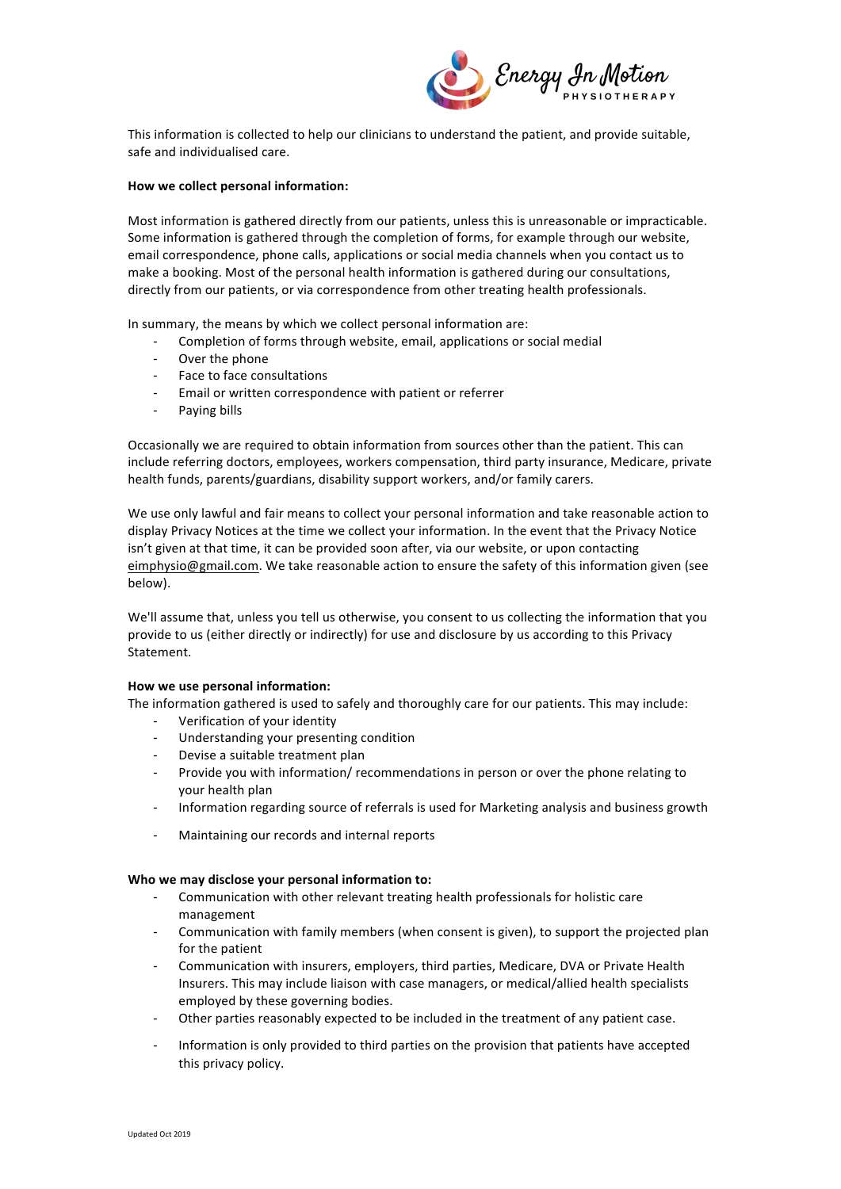

This information is collected to help our clinicians to understand the patient, and provide suitable, safe and individualised care.

## **How we collect personal information:**

Most information is gathered directly from our patients, unless this is unreasonable or impracticable. Some information is gathered through the completion of forms, for example through our website, email correspondence, phone calls, applications or social media channels when you contact us to make a booking. Most of the personal health information is gathered during our consultations, directly from our patients, or via correspondence from other treating health professionals.

In summary, the means by which we collect personal information are:

- Completion of forms through website, email, applications or social medial
- Over the phone
- Face to face consultations
- Email or written correspondence with patient or referrer
- Paying bills

Occasionally we are required to obtain information from sources other than the patient. This can include referring doctors, employees, workers compensation, third party insurance, Medicare, private health funds, parents/guardians, disability support workers, and/or family carers.

We use only lawful and fair means to collect your personal information and take reasonable action to display Privacy Notices at the time we collect your information. In the event that the Privacy Notice isn't given at that time, it can be provided soon after, via our website, or upon contacting eimphysio@gmail.com. We take reasonable action to ensure the safety of this information given (see below). 

We'll assume that, unless you tell us otherwise, you consent to us collecting the information that you provide to us (either directly or indirectly) for use and disclosure by us according to this Privacy Statement.

## **How we use personal information:**

The information gathered is used to safely and thoroughly care for our patients. This may include:

- Verification of your identity
- Understanding your presenting condition
- Devise a suitable treatment plan
- Provide you with information/ recommendations in person or over the phone relating to your health plan
- Information regarding source of referrals is used for Marketing analysis and business growth
- Maintaining our records and internal reports

## Who we may disclose your personal information to:

- Communication with other relevant treating health professionals for holistic care management
- Communication with family members (when consent is given), to support the projected plan for the patient
- Communication with insurers, employers, third parties, Medicare, DVA or Private Health Insurers. This may include liaison with case managers, or medical/allied health specialists employed by these governing bodies.
- Other parties reasonably expected to be included in the treatment of any patient case.
- Information is only provided to third parties on the provision that patients have accepted this privacy policy.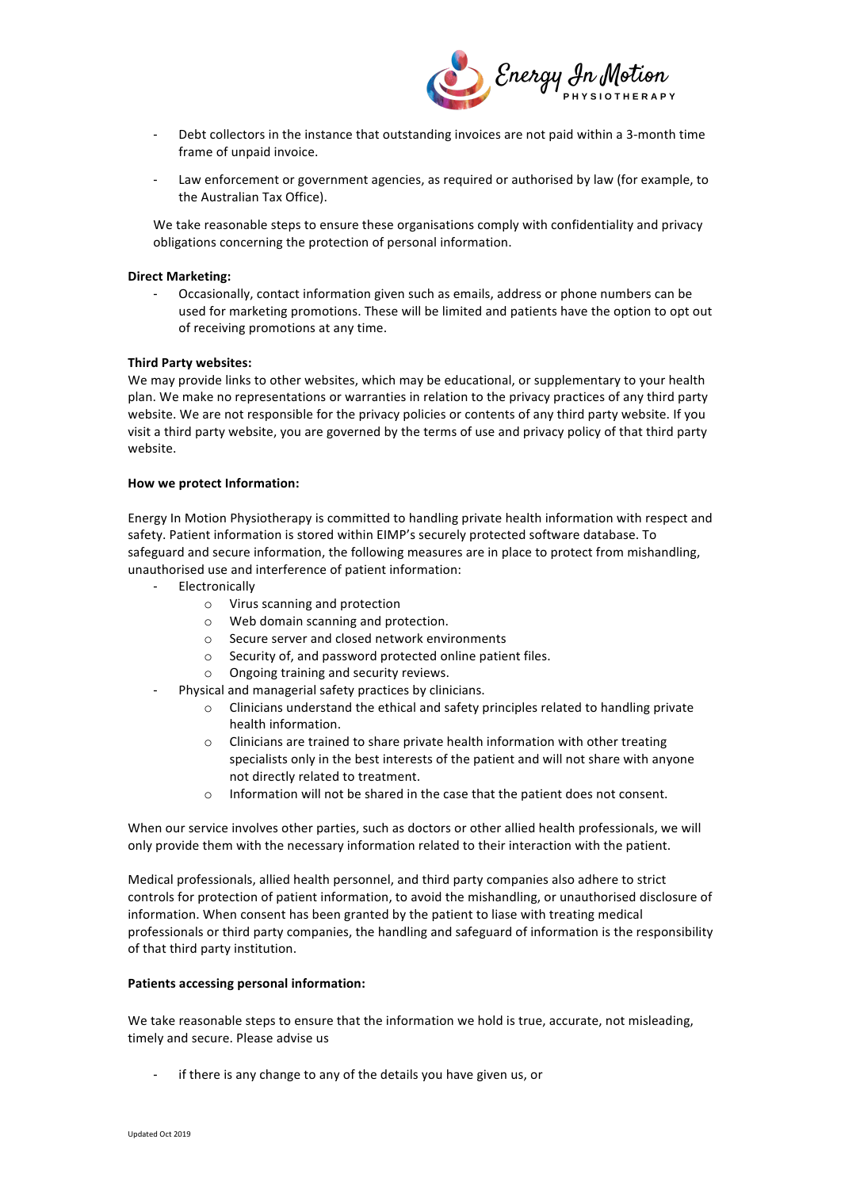

- Debt collectors in the instance that outstanding invoices are not paid within a 3-month time frame of unpaid invoice.
- Law enforcement or government agencies, as required or authorised by law (for example, to the Australian Tax Office).

We take reasonable steps to ensure these organisations comply with confidentiality and privacy obligations concerning the protection of personal information.

## **Direct Marketing:**

Occasionally, contact information given such as emails, address or phone numbers can be used for marketing promotions. These will be limited and patients have the option to opt out of receiving promotions at any time.

# **Third Party websites:**

We may provide links to other websites, which may be educational, or supplementary to your health plan. We make no representations or warranties in relation to the privacy practices of any third party website. We are not responsible for the privacy policies or contents of any third party website. If you visit a third party website, you are governed by the terms of use and privacy policy of that third party website. 

## **How we protect Information:**

Energy In Motion Physiotherapy is committed to handling private health information with respect and safety. Patient information is stored within EIMP's securely protected software database. To safeguard and secure information, the following measures are in place to protect from mishandling, unauthorised use and interference of patient information:

- **Electronically** 
	- o Virus scanning and protection
	- $\circ$  Web domain scanning and protection.
	- $\circ$  Secure server and closed network environments
	- o Security of, and password protected online patient files.
	- $\circ$  Ongoing training and security reviews.
	- Physical and managerial safety practices by clinicians.
		- $\circ$  Clinicians understand the ethical and safety principles related to handling private health information.
		- $\circ$  Clinicians are trained to share private health information with other treating specialists only in the best interests of the patient and will not share with anyone not directly related to treatment.
		- o Information will not be shared in the case that the patient does not consent.

When our service involves other parties, such as doctors or other allied health professionals, we will only provide them with the necessary information related to their interaction with the patient.

Medical professionals, allied health personnel, and third party companies also adhere to strict controls for protection of patient information, to avoid the mishandling, or unauthorised disclosure of information. When consent has been granted by the patient to liase with treating medical professionals or third party companies, the handling and safeguard of information is the responsibility of that third party institution.

# **Patients accessing personal information:**

We take reasonable steps to ensure that the information we hold is true, accurate, not misleading, timely and secure. Please advise us

if there is any change to any of the details you have given us, or